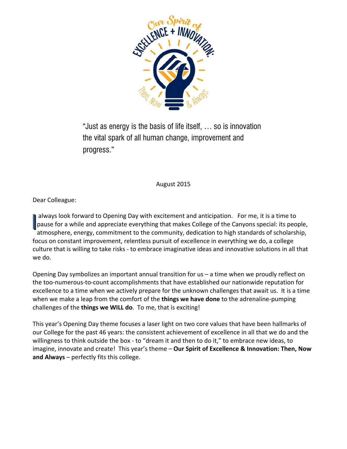

"Just as energy is the basis of life itself, … so is innovation the vital spark of all human change, improvement and progress."

### August 2015

Dear Colleague:

 always look forward to Opening Day with excitement and anticipation. For me, it is a time to for a while and appreciate everything that makes College of the Canyons special: its people, atmosphere, energy, commitment to the community, dedication to high standards of scholarship, focus on constant improvement, relentless pursuit of excellence in everything we do, a college culture that is willing to take risks ‐ to embrace imaginative ideas and innovative solutions in all that we do. always look forward to Opening Day with excitement and anticipation. For me, it is a time to<br>pause for a while and appreciate everything that makes College of the Canyons special: its people,<br>atmosphere, energy, commitment

 Opening Day symbolizes an important annual transition for us – a time when we proudly reflect on the too‐numerous‐to‐count accomplishments that have established our nationwide reputation for excellence to a time when we actively prepare for the unknown challenges that await us. It is a time  when we make a leap from the comfort of the **things we have done** to the adrenaline‐pumping  challenges of the **things we WILL do**. To me, that is exciting!

 This year's Opening Day theme focuses a laser light on two core values that have been hallmarks of our College for the past 46 years: the consistent achievement of excellence in all that we do and the willingness to think outside the box ‐ to "dream it and then to do it," to embrace new ideas, to  imagine, innovate and create! This year's theme – **Our Spirit of Excellence & Innovation: Then, Now and Always** – perfectly fits this college.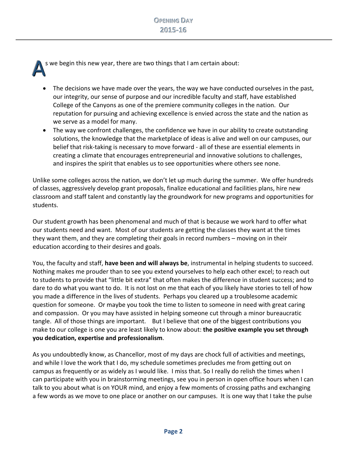s we begin this new year, there are two things that I am certain about:

- The decisions we have made over the years, the way we have conducted ourselves in the past, our integrity, our sense of purpose and our incredible faculty and staff, have established College of the Canyons as one of the premiere community colleges in the nation. Our reputation for pursuing and achieving excellence is envied across the state and the nation as we serve as a model for many.
- The way we confront challenges, the confidence we have in our ability to create outstanding solutions, the knowledge that the marketplace of ideas is alive and well on our campuses, our belief that risk‐taking is necessary to move forward ‐ all of these are essential elements in creating a climate that encourages entrepreneurial and innovative solutions to challenges, and inspires the spirit that enables us to see opportunities where others see none.

 Unlike some colleges across the nation, we don't let up much during the summer. We offer hundreds of classes, aggressively develop grant proposals, finalize educational and facilities plans, hire new classroom and staff talent and constantly lay the groundwork for new programs and opportunities for students.

 Our student growth has been phenomenal and much of that is because we work hard to offer what our students need and want. Most of our students are getting the classes they want at the times they want them, and they are completing their goals in record numbers – moving on in their education according to their desires and goals.

  You, the faculty and staff, **have been and will always be**, instrumental in helping students to succeed. Nothing makes me prouder than to see you extend yourselves to help each other excel; to reach out to students to provide that "little bit extra" that often makes the difference in student success; and to dare to do what you want to do. It is not lost on me that each of you likely have stories to tell of how you made a difference in the lives of students. Perhaps you cleared up a troublesome academic question for someone. Or maybe you took the time to listen to someone in need with great caring and compassion. Or you may have assisted in helping someone cut through a minor bureaucratic tangle. All of those things are important. But I believe that one of the biggest contributions you  make to our college is one you are least likely to know about: **the positive example you set through you dedication, expertise and professionalism**.

 As you undoubtedly know, as Chancellor, most of my days are chock full of activities and meetings, and while I love the work that I do, my schedule sometimes precludes me from getting out on campus as frequently or as widely as I would like. I miss that. So I really do relish the times when I can participate with you in brainstorming meetings, see you in person in open office hours when I can talk to you about what is on YOUR mind, and enjoy a few moments of crossing paths and exchanging a few words as we move to one place or another on our campuses. It is one way that I take the pulse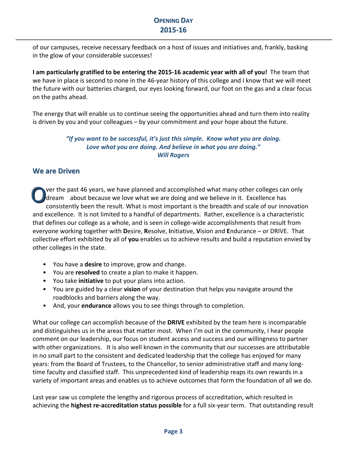of our campuses, receive necessary feedback on a host of issues and initiatives and, frankly, basking in the glow of your considerable successes!

I am particularly gratified to be entering the 2015-16 academic year with all of you! The team that we have in place is second to none in the 46‐year history of this college and I know that we will meet the future with our batteries charged, our eyes looking forward, our foot on the gas and a clear focus on the paths ahead.

 The energy that will enable us to continue seeing the opportunities ahead and turn them into reality is driven by you and your colleagues – by your commitment and your hope about the future.

### "If you want to be successful, it's just this simple. Know what you are doing.  *Love what you are doing. And believe in what you are doing." Will Rogers*

## **We are Driven We are Driven**

yer the past 46 years, we have planned and accomplished what many other colleges can only about because we love what we are doing and we believe in it. Excellence has consistently been the result. What is most important is the breadth and scale of our innovation and excellence. It is not limited to a handful of departments. Rather, excellence is a characteristic that defines our college as a whole, and is seen in college‐wide accomplishments that result from everyone working together with **D**esire, **R**esolve, **I**nitiative, **V**ision and **E**ndurance – or DRIVE. That collective effort exhibited by all of **you** enables us to achieve results and build a reputation envied by other colleges in the state. Over the past 46 years, we have planned and accomplished what many other colleges can only<br>dream about because we love what we are doing and we believe in it. Excellence has<br>consistently been the result. What is most impor dream about because we love what we are doing and we believe in it. Excellence has

- You have a **desire** to improve, grow and change.
- You are **resolved** to create a plan to make it happen.
- You take **initiative** to put your plans into action.
- • You are guided by a clear **vision** of your destination that helps you navigate around the roadblocks and barriers along the way.
- And, your **endurance** allows you to see things through to completion.

 What our college can accomplish because of the **DRIVE** exhibited by the team here is incomparable and distinguishes us in the areas that matter most. When I'm out in the community, I hear people comment on our leadership, our focus on student access and success and our willingness to partner with other organizations. It is also well known in the community that our successes are attributable in no small part to the consistent and dedicated leadership that the college has enjoyed for many years: from the Board of Trustees, to the Chancellor, to senior administrative staff and many long‐ time faculty and classified staff. This unprecedented kind of leadership reaps its own rewards in a variety of important areas and enables us to achieve outcomes that form the foundation of all we do.

 Last year saw us complete the lengthy and rigorous process of accreditation, which resulted in  achieving the **highest re‐accreditation status possible** for a full six‐year term. That outstanding result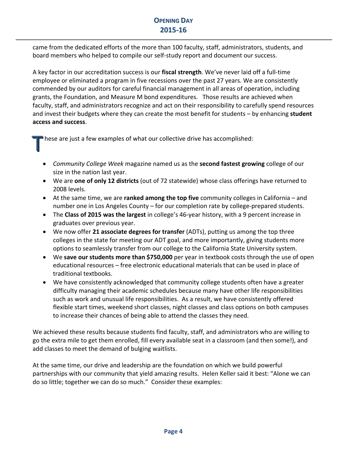# **OPENING DAY DAY 2015‐16 ‐16**

 came from the dedicated efforts of the more than 100 faculty, staff, administrators, students, and board members who helped to compile our self‐study report and document our success.

 A key factor in our accreditation success is our **fiscal strength**. We've never laid off a full‐time employee or eliminated a program in five recessions over the past 27 years. We are consistently commended by our auditors for careful financial management in all areas of operation, including grants, the Foundation, and Measure M bond expenditures. Those results are achieved when faculty, staff, and administrators recognize and act on their responsibility to carefully spend resources and invest their budgets where they can create the most benefit for students – by enhancing **student access and success**.

These are just a few examples of what our collective drive has accomplished:<br>
These are just a few examples of what our collective drive has accomplished:

- *Community College Week* magazine named us as the **second fastest growing** college of our size in the nation last year.
- We are **one of only 12 districts** (out of 72 statewide) whose class offerings have returned to 2008 levels.
- At the same time, we are **ranked among the top five** community colleges in California and number one in Los Angeles County – for our completion rate by college‐prepared students.
- The **Class of 2015 was the largest** in college's 46‐year history, with a 9 percent increase in graduates over previous year.
- We now offer **21 associate degrees for transfer** (ADTs), putting us among the top three colleges in the state for meeting our ADT goal, and more importantly, giving students more options to seamlessly transfer from our college to the California State University system.
- We **save our students more than \$750,000** per year in textbook costs through the use of open educational resources – free electronic educational materials that can be used in place of traditional textbooks.
- We have consistently acknowledged that community college students often have a greater difficulty managing their academic schedules because many have other life responsibilities such as work and unusual life responsibilities. As a result, we have consistently offered flexible start times, weekend short classes, night classes and class options on both campuses to increase their chances of being able to attend the classes they need.

 We achieved these results because students find faculty, staff, and administrators who are willing to go the extra mile to get them enrolled, fill every available seat in a classroom (and then some!), and add classes to meet the demand of bulging waitlists.

 At the same time, our drive and leadership are the foundation on which we build powerful partnerships with our community that yield amazing results. Helen Keller said it best: "Alone we can do so little; together we can do so much." Consider these examples: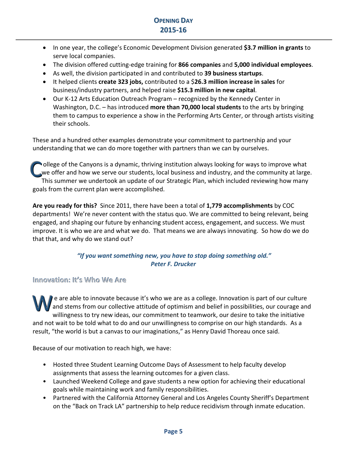- In one year, the college's Economic Development Division generated **\$3.7 million in grants** to serve local companies.
- The division offered cutting‐edge training for **866 companies** and **5,000 individual employees**.
- As well, the division participated in and contributed to **39 business startups**.
- It helped clients **create 323 jobs,** contributed to a \$**26.3 million increase in sales** for  business/industry partners, and helped raise **\$15.3 million in new capital**.
- Our K-12 Arts Education Outreach Program recognized by the Kennedy Center in  Washington, D.C. – has introduced **more than 70,000 local students** to the arts by bringing them to campus to experience a show in the Performing Arts Center, or through artists visiting their schools.

 These and a hundred other examples demonstrate your commitment to partnership and your understanding that we can do more together with partners than we can by ourselves.

ollege of the Canyons is a dynamic, thriving institution always looking for ways to improve what <a> offer and how we serve our students, local business and industry, and the community at large. This summer we undertook an update of our Strategic Plan, which included reviewing how many goals from the current plan were accomplished. College of the Canyons is a dynamic, thriving institution always looking for ways to improve what<br>we offer and how we serve our students, local business and industry, and the community at large<br>This summer we undertook an we offer and how we serve our students, local business and industry, and the community at large.

 **Are you ready for this?** Since 2011, there have been a total of **1,779 accomplishments** by COC departments! We're never content with the status quo. We are committed to being relevant, being engaged, and shaping our future by enhancing student access, engagement, and success. We must improve. It is who we are and what we do. That means we are always innovating. So how do we do that that, and why do we stand out?

### *"If you want something new, you have to stop doing something old." Peter F. Drucker*

### **Innovation: It's Who We Are**

e are able to innovate because it's who we are as a college. Innovation is part of our culture stems from our collective attitude of optimism and belief in possibilities, our courage and willingness to try new ideas, our commitment to teamwork, our desire to take the initiative and not wait to be told what to do and our unwillingness to comprise on our high standards. As a result, "the world is but a canvas to our imaginations," as Henry David Thoreau once said. We are able to innovate because it's who we are as a college. Innovation is part of our culture<br>and stems from our collective attitude of optimism and belief in possibilities, our courage an<br>willingness to try new ideas ou and stems from our collective attitude of optimism and belief in possibilities, our courage and

Because of our motivation to reach high, we have:

- Hosted three Student Learning Outcome Days of Assessment to help faculty develop assignments that assess the learning outcomes for a given class.
- • Launched Weekend College and gave students a new option for achieving their educational goals while maintaining work and family responsibilities.
- Partnered with the California Attorney General and Los Angeles County Sheriff's Department on the "Back on Track LA" partnership to help reduce recidivism through inmate education.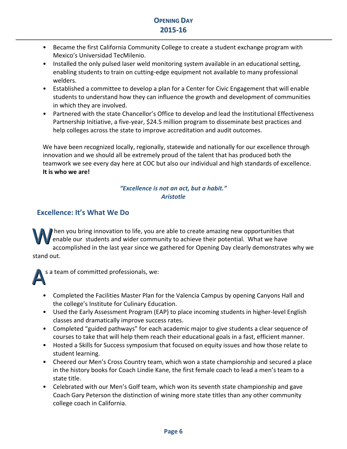- • Became the first California Community College to create a student exchange program with Mexico's Universidad TecMilenio.
- • Installed the only pulsed laser weld monitoring system available in an educational setting, enabling students to train on cutting‐edge equipment not available to many professional welders.
- • Established a committee to develop a plan for a Center for Civic Engagement that will enable students to understand how they can influence the growth and development of communities in which they are involved.
- Partnered with the state Chancellor's Office to develop and lead the Institutional Effectiveness Partnership Initiative, a five‐year, \$24.5 million program to disseminate best practices and help colleges across the state to improve accreditation and audit outcomes.

 We have been recognized locally, regionally, statewide and nationally for our excellence through innovation and we should all be extremely proud of the talent that has produced both the teamwork we see every day here at COC but also our individual and high standards of excellence. **It is who we are!**

### *"Excellence is not an act, but a habit." Aristotle*

## **Excellence: It's What We Do**

hen you bring innovation to life, you are able to create amazing new opportunities that students and wider community to achieve their potential. What we have accomplished in the last year since we gathered for Opening Day clearly demonstrates why we When you bring innovation to life, you are able to create amazing new opportunities that<br>enable our students and wider community to achieve their potential. What we have<br>accomplished in the last year since we gathered for enable our students and wider community to achieve their potential. What we have stand out.



**As a team of committed professionals, we:** 

- Completed the Facilities Master Plan for the Valencia Campus by opening Canyons Hall and the college's Institute for Culinary Education.
- • Used the Early Assessment Program (EAP) to place incoming students in higher‐level English classes and dramatically improve success rates.
- Completed "guided pathways" for each academic major to give students a clear sequence of courses to take that will help them reach their educational goals in a fast, efficient manner.
- • Hosted a Skills for Success symposium that focused on equity issues and how those relate to student learning.
- Cheered our Men's Cross Country team, which won a state championship and secured a place in the history books for Coach Lindie Kane, the first female coach to lead a men's team to a state title.
- Celebrated with our Men's Golf team, which won its seventh state championship and gave Coach Gary Peterson the distinction of wining more state titles than any other community college coach in California.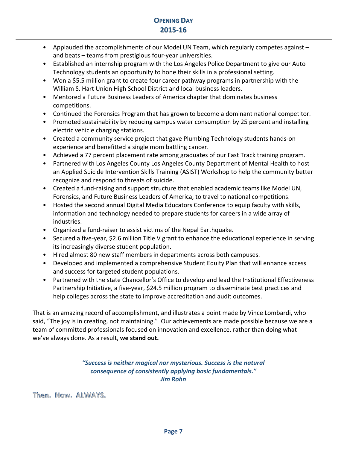- • Applauded the accomplishments of our Model UN Team, which regularly competes against and beats – teams from prestigious four‐year universities.
- Established an internship program with the Los Angeles Police Department to give our Auto Technology students an opportunity to hone their skills in a professional setting.
- Won a \$5.5 million grant to create four career pathway programs in partnership with the William S. Hart Union High School District and local business leaders.
- Mentored a Future Business Leaders of America chapter that dominates business competitions.
- Continued the Forensics Program that has grown to become a dominant national competitor.
- Promoted sustainability by reducing campus water consumption by 25 percent and installing electric vehicle charging stations.
- Created a community service project that gave Plumbing Technology students hands‐on experience and benefitted a single mom battling cancer.
- Achieved a 77 percent placement rate among graduates of our Fast Track training program.
- Partnered with Los Angeles County Los Angeles County Department of Mental Health to host an Applied Suicide Intervention Skills Training (ASIST) Workshop to help the community better recognize and respond to threats of suicide.
- Created a fund-raising and support structure that enabled academic teams like Model UN, Forensics, and Future Business Leaders of America, to travel to national competitions.
- • Hosted the second annual Digital Media Educators Conference to equip faculty with skills, information and technology needed to prepare students for careers in a wide array of industries.
- Organized a fund‐raiser to assist victims of the Nepal Earthquake.
- Secured a five‐year, \$2.6 million Title V grant to enhance the educational experience in serving its increasingly diverse student population.
- Hired almost 80 new staff members in departments across both campuses.
- Developed and implemented a comprehensive Student Equity Plan that will enhance access and success for targeted student populations.
- Partnered with the state Chancellor's Office to develop and lead the Institutional Effectiveness Partnership Initiative, a five‐year, \$24.5 million program to disseminate best practices and help colleges across the state to improve accreditation and audit outcomes.

 That is an amazing record of accomplishment, and illustrates a point made by Vince Lombardi, who said, "The joy is in creating, not maintaining." Our achievements are made possible because we are a team of committed professionals focused on innovation and excellence, rather than doing what  we've always done. As a result, **we stand out.**

> *"Success is neither magical nor mysterious. Success is the natural consequence of consistently applying basic fundamentals." Jim Rohn*

**Then. Now. ALWAYS.**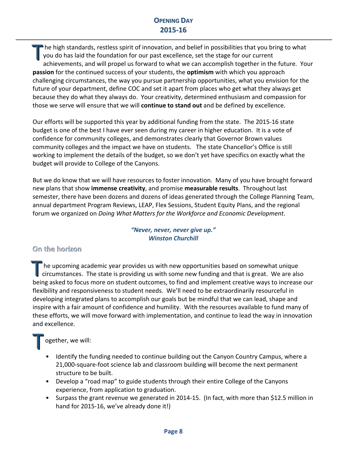# **OPENING DAY DAY 2015‐16 ‐16**

he high standards, restless spirit of innovation, and belief in possibilities that you bring to what do has laid the foundation for our past excellence, set the stage for our current achievements, and will propel us forward to what we can accomplish together in the future. Your **passion** for the continued success of your students, the **optimism** with which you approach challenging circumstances, the way you pursue partnership opportunities, what you envision for the future of your department, define COC and set it apart from places who get what they always get because they do what they always do. Your creativity, determined enthusiasm and compassion for  those we serve will ensure that we will **continue to stand out** and be defined by excellence. The high standards, restless spirit of innovation, and belief in possibilities that you bring to what<br>you do has laid the foundation for our past excellence, set the stage for our current<br>achievements and will propel us fo you do has laid the foundation for our past excellence, set the stage for our current

 Our efforts will be supported this year by additional funding from the state. The 2015‐16 state budget is one of the best I have ever seen during my career in higher education. It is a vote of confidence for community colleges, and demonstrates clearly that Governor Brown values community colleges and the impact we have on students. The state Chancellor's Office is still working to implement the details of the budget, so we don't yet have specifics on exactly what the budget will provide to College of the Canyons.

 But we do know that we will have resources to foster innovation. Many of you have brought forward new plans that show **immense creativity**, and promise **measurable results**. Throughout last semester, there have been dozens and dozens of ideas generated through the College Planning Team, annual department Program Reviews, LEAP, Flex Sessions, Student Equity Plans, and the regional  forum we organized on *Doing What Matters for the Workforce and Economic Development*.

### *"Never, never, never give up." Winston Churchill*

## **On the horizon**

The upcoming academic year provides us with new opportunities based on somewhat unique<br>circumstances. The state is providing us with some new funding and that is great. We are als<br>being seked to focus more on student outco circumstances. The state is providing us with some new funding and that is great. We are also being asked to focus more on student outcomes, to find and implement creative ways to increase our flexibility and responsiveness to student needs. We'll need to be extraordinarily resourceful in developing integrated plans to accomplish our goals but be mindful that we can lead, shape and inspire with a fair amount of confidence and humility. With the resources available to fund many of these efforts, we will move forward with implementation, and continue to lead the way in innovation and excellence. T

we will:  $\prod$  ogether, we will:

T

- Identify the funding needed to continue building out the Canyon Country Campus, where a 21,000‐square‐foot science lab and classroom building will become the next permanent structure to be built.
- Develop a "road map" to guide students through their entire College of the Canyons experience, from application to graduation.
- Surpass the grant revenue we generated in 2014-15. (In fact, with more than \$12.5 million in hand for 2015‐16, we've already done it!)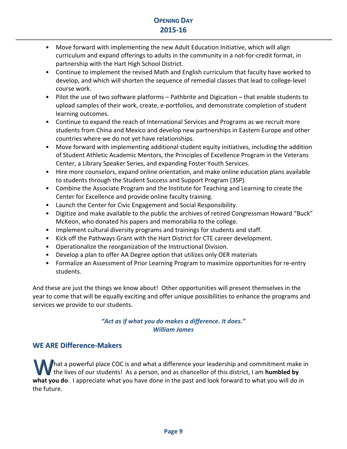- Move forward with implementing the new Adult Education Initiative, which will align curriculum and expand offerings to adults in the community in a not‐for‐credit format, in partnership with the Hart High School District.
- Continue to implement the revised Math and English curriculum that faculty have worked to develop, and which will shorten the sequence of remedial classes that lead to college‐level course work.
- • Pilot the use of two software platforms Pathbrite and Digication that enable students to upload samples of their work, create, e‐portfolios, and demonstrate completion of student learning outcomes.
- Continue to expand the reach of International Services and Programs as we recruit more students from China and Mexico and develop new partnerships in Eastern Europe and other countries where we do not yet have relationships.
- Move forward with implementing additional student equity initiatives, including the addition of Student Athletic Academic Mentors, the Principles of Excellence Program in the Veterans Center, a Library Speaker Series, and expanding Foster Youth Services.
- Hire more counselors, expand online orientation, and make online education plans available to students through the Student Success and Support Program (3SP).
- Combine the Associate Program and the Institute for Teaching and Learning to create the Center for Excellence and provide online faculty training.
- Launch the Center for Civic Engagement and Social Responsibility.
- Digitize and make available to the public the archives of retired Congressman Howard "Buck" McKeon, who donated his papers and memorabilia to the college.
- Implement cultural diversity programs and trainings for students and staff.
- Kick off the Pathways Grant with the Hart District for CTE career development.
- Operationalize the reorganization of the Instructional Division.
- Develop a plan to offer AA Degree option that utilizes only OER materials
- Formalize an Assessment of Prior Learning Program to maximize opportunities for re‐entry students.

 And these are just the things we know about! Other opportunities will present themselves in the year to come that will be equally exciting and offer unique possibilities to enhance the programs and services we provide to our students.

### *"Act as if what you do makes a difference. It does." William James*

# **WE ARE Difference‐Makers WE ARE Difference‐Makers**

What a powerful place COC is and what a difference your leadership and commitment make in<br>the lives of our students! As a person, and as chancellor of this district, I am **humbled by**<br>what you do al appreciate what you hav  the lives of our students! As a person, and as chancellor of this district, I am **humbled by**  W **what you do**. I appreciate what you have done in the past and look forward to what you will do in the future.